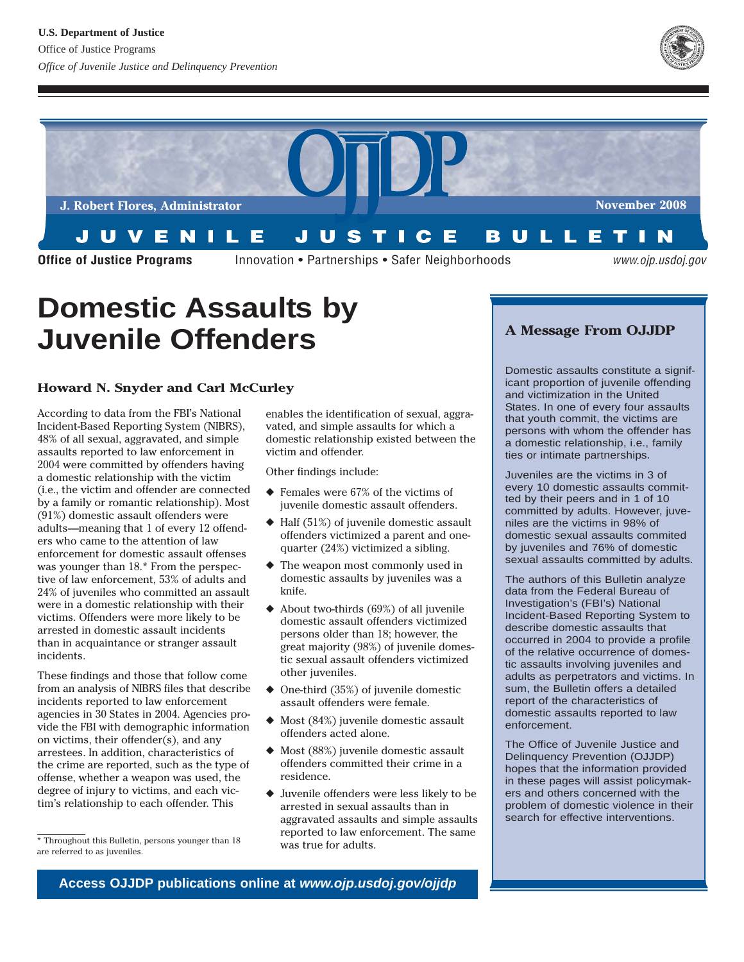



**Office of Justice Programs Innovation • Partnerships • Safer Neighborhoods** 

www.ojp.usdoj.gov

# **Domestic Assaults by Juvenile Offenders**

# **Howard N. Snyder and Carl McCurley**

According to data from the FBI's National Incident-Based Reporting System (NIBRS), 48% of all sexual, aggravated, and simple assaults reported to law enforcement in 2004 were committed by offenders having a domestic relationship with the victim (i.e., the victim and offender are connected by a family or romantic relationship). Most (91%) domestic assault offenders were adults—meaning that 1 of every 12 offenders who came to the attention of law enforcement for domestic assault offenses was younger than 18.\* From the perspective of law enforcement, 53% of adults and 24% of juveniles who committed an assault were in a domestic relationship with their victims. Offenders were more likely to be arrested in domestic assault incidents than in acquaintance or stranger assault incidents.

These findings and those that follow come from an analysis of NIBRS files that describe incidents reported to law enforcement agencies in 30 States in 2004. Agencies provide the FBI with demographic information on victims, their offender(s), and any arrestees. In addition, characteristics of the crime are reported, such as the type of offense, whether a weapon was used, the degree of injury to victims, and each victim's relationship to each offender. This

enables the identification of sexual, aggravated, and simple assaults for which a domestic relationship existed between the victim and offender.

Other findings include:

- $\triangle$  Females were 67% of the victims of juvenile domestic assault offenders.
- ◆ Half (51%) of juvenile domestic assault offenders victimized a parent and onequarter (24%) victimized a sibling.
- $\blacklozenge$  The weapon most commonly used in domestic assaults by juveniles was a knife.
- ◆ About two-thirds (69%) of all juvenile domestic assault offenders victimized persons older than 18; however, the great majority (98%) of juvenile domestic sexual assault offenders victimized other juveniles.
- ◆ One-third (35%) of juvenile domestic assault offenders were female.
- ◆ Most (84%) juvenile domestic assault offenders acted alone.
- ◆ Most (88%) juvenile domestic assault offenders committed their crime in a residence.
- ◆ Juvenile offenders were less likely to be arrested in sexual assaults than in aggravated assaults and simple assaults reported to law enforcement. The same was true for adults.

# **A Message From OJJDP**

Domestic assaults constitute a significant proportion of juvenile offending and victimization in the United States. In one of every four assaults that youth commit, the victims are persons with whom the offender has a domestic relationship, i.e., family ties or intimate partnerships.

Juveniles are the victims in 3 of every 10 domestic assaults committed by their peers and in 1 of 10 committed by adults. However, juveniles are the victims in 98% of domestic sexual assaults commited by juveniles and 76% of domestic sexual assaults committed by adults.

The authors of this Bulletin analyze data from the Federal Bureau of Investigation's (FBI's) National Incident-Based Reporting System to describe domestic assaults that occurred in 2004 to provide a profile of the relative occurrence of domestic assaults involving juveniles and adults as perpetrators and victims. In sum, the Bulletin offers a detailed report of the characteristics of domestic assaults reported to law enforcement.

The Office of Juvenile Justice and Delinquency Prevention (OJJDP) hopes that the information provided in these pages will assist policymakers and others concerned with the problem of domestic violence in their search for effective interventions.

<sup>\*</sup> Throughout this Bulletin, persons younger than 18 are referred to as juveniles.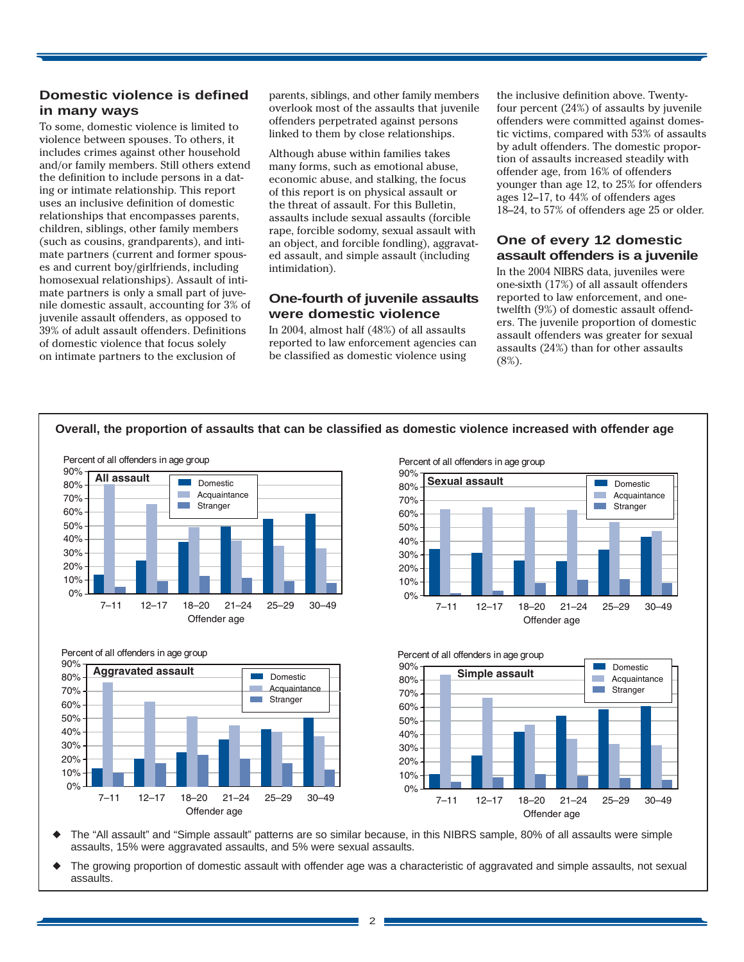## **Domestic violence is defined in many ways**

To some, domestic violence is limited to violence between spouses. To others, it includes crimes against other household and/or family members. Still others extend the definition to include persons in a dating or intimate relationship. This report uses an inclusive definition of domestic relationships that encompasses parents, children, siblings, other family members (such as cousins, grandparents), and intimate partners (current and former spouses and current boy/girlfriends, including homosexual relationships). Assault of intimate partners is only a small part of juvenile domestic assault, accounting for 3% of juvenile assault offenders, as opposed to 39% of adult assault offenders. Definitions of domestic violence that focus solely on intimate partners to the exclusion of

parents, siblings, and other family members overlook most of the assaults that juvenile offenders perpetrated against persons linked to them by close relationships.

Although abuse within families takes many forms, such as emotional abuse, economic abuse, and stalking, the focus of this report is on physical assault or the threat of assault. For this Bulletin, assaults include sexual assaults (forcible rape, forcible sodomy, sexual assault with an object, and forcible fondling), aggravated assault, and simple assault (including intimidation).

## **One-fourth of juvenile assaults were domestic violence**

In 2004, almost half (48%) of all assaults reported to law enforcement agencies can be classified as domestic violence using

the inclusive definition above. Twentyfour percent (24%) of assaults by juvenile offenders were committed against domestic victims, compared with 53% of assaults by adult offenders. The domestic proportion of assaults increased steadily with offender age, from 16% of offenders younger than age 12, to 25% for offenders ages 12–17, to 44% of offenders ages 18–24, to 57% of offenders age 25 or older.

## **One of every 12 domestic assault offenders is a juvenile**

In the 2004 NIBRS data, juveniles were one-sixth (17%) of all assault offenders reported to law enforcement, and onetwelfth (9%) of domestic assault offenders. The juvenile proportion of domestic assault offenders was greater for sexual assaults (24%) than for other assaults (8%).



The "All assault" and "Simple assault" patterns are so similar because, in this NIBRS sample, 80% of all assaults were simple assaults, 15% were aggravated assaults, and 5% were sexual assaults.

The growing proportion of domestic assault with offender age was a characteristic of aggravated and simple assaults, not sexual assaults.

2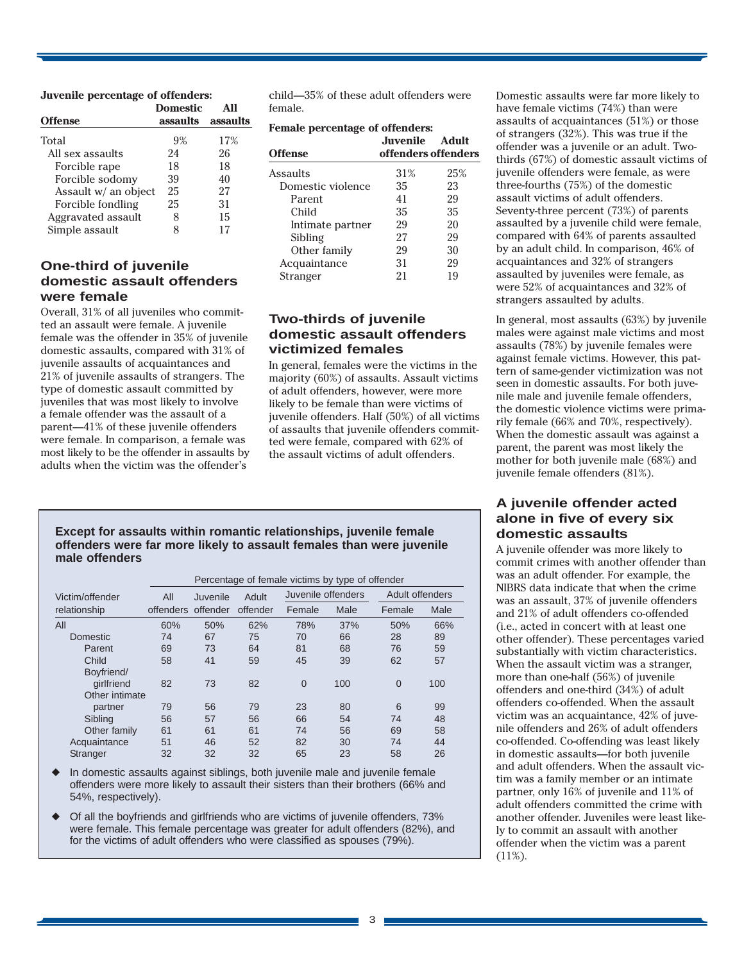#### **Juvenile percentage of offenders:**

|                      | <b>Domestic</b> |          |
|----------------------|-----------------|----------|
| <b>Offense</b>       | assaults        | assaults |
| Total                | 9%              | 17%      |
| All sex assaults     | 24              | 26       |
| Forcible rape        | 18              | 18       |
| Forcible sodomy      | 39              | 40       |
| Assault w/ an object | 25              | 27       |
| Forcible fondling    | 25              | 31       |
| Aggravated assault   | 8               | 15       |
| Simple assault       | x               |          |

## **One-third of juvenile domestic assault offenders were female**

Overall, 31% of all juveniles who committed an assault were female. A juvenile female was the offender in 35% of juvenile domestic assaults, compared with 31% of juvenile assaults of acquaintances and 21% of juvenile assaults of strangers. The type of domestic assault committed by juveniles that was most likely to involve a female offender was the assault of a parent—41% of these juvenile offenders were female. In comparison, a female was most likely to be the offender in assaults by adults when the victim was the offender's

child—35% of these adult offenders were female.

#### **Female percentage of offenders:**

| Offense           | Juvenile.<br>offenders offenders | Adult |
|-------------------|----------------------------------|-------|
| Assaults          | 31%                              | 25%   |
| Domestic violence | 35                               | 23    |
| Parent            | 41                               | 29    |
| Child             | 35                               | 35    |
| Intimate partner  | 29                               | 20    |
| Sibling           | 27                               | 29    |
| Other family      | 29                               | 30    |
| Acquaintance      | 31                               | 29    |
| Stranger          | 21                               | 19    |
|                   |                                  |       |

## **Two-thirds of juvenile domestic assault offenders victimized females**

In general, females were the victims in the majority (60%) of assaults. Assault victims of adult offenders, however, were more likely to be female than were victims of juvenile offenders. Half (50%) of all victims of assaults that juvenile offenders committed were female, compared with 62% of the assault victims of adult offenders.

#### **Except for assaults within romantic relationships, juvenile female offenders were far more likely to assault females than were juvenile male offenders**

|                 | Percentage of female victims by type of offender |          |          |                    |      |                 |      |  |
|-----------------|--------------------------------------------------|----------|----------|--------------------|------|-----------------|------|--|
| Victim/offender | All                                              | Juvenile | Adult    | Juvenile offenders |      | Adult offenders |      |  |
| relationship    | offenders offender                               |          | offender | Female             | Male | Female          | Male |  |
| All             | 60%                                              | 50%      | 62%      | 78%                | 37%  | 50%             | 66%  |  |
| Domestic        | 74                                               | 67       | 75       | 70                 | 66   | 28              | 89   |  |
| Parent          | 69                                               | 73       | 64       | 81                 | 68   | 76              | 59   |  |
| Child           | 58                                               | 41       | 59       | 45                 | 39   | 62              | 57   |  |
| Boyfriend/      |                                                  |          |          |                    |      |                 |      |  |
| girlfriend      | 82                                               | 73       | 82       | $\overline{0}$     | 100  | $\Omega$        | 100  |  |
| Other intimate  |                                                  |          |          |                    |      |                 |      |  |
| partner         | 79                                               | 56       | 79       | 23                 | 80   | 6               | 99   |  |
| Sibling         | 56                                               | 57       | 56       | 66                 | 54   | 74              | 48   |  |
| Other family    | 61                                               | 61       | 61       | 74                 | 56   | 69              | 58   |  |
| Acquaintance    | 51                                               | 46       | 52       | 82                 | 30   | 74              | 44   |  |
| Stranger        | 32                                               | 32       | 32       | 65                 | 23   | 58              | 26   |  |

In domestic assaults against siblings, both juvenile male and juvenile female offenders were more likely to assault their sisters than their brothers (66% and 54%, respectively).

Of all the boyfriends and girlfriends who are victims of juvenile offenders, 73% were female. This female percentage was greater for adult offenders (82%), and for the victims of adult offenders who were classified as spouses (79%).

Domestic assaults were far more likely to have female victims (74%) than were assaults of acquaintances (51%) or those of strangers (32%). This was true if the offender was a juvenile or an adult. Twothirds (67%) of domestic assault victims of juvenile offenders were female, as were three-fourths (75%) of the domestic assault victims of adult offenders. Seventy-three percent (73%) of parents assaulted by a juvenile child were female, compared with 64% of parents assaulted by an adult child. In comparison, 46% of acquaintances and 32% of strangers assaulted by juveniles were female, as were 52% of acquaintances and 32% of strangers assaulted by adults.

In general, most assaults (63%) by juvenile males were against male victims and most assaults (78%) by juvenile females were against female victims. However, this pattern of same-gender victimization was not seen in domestic assaults. For both juvenile male and juvenile female offenders, the domestic violence victims were primarily female (66% and 70%, respectively). When the domestic assault was against a parent, the parent was most likely the mother for both juvenile male (68%) and juvenile female offenders (81%).

## **A juvenile offender acted alone in five of every six domestic assaults**

A juvenile offender was more likely to commit crimes with another offender than was an adult offender. For example, the NIBRS data indicate that when the crime was an assault, 37% of juvenile offenders and 21% of adult offenders co-offended (i.e., acted in concert with at least one other offender). These percentages varied substantially with victim characteristics. When the assault victim was a stranger. more than one-half (56%) of juvenile offenders and one-third (34%) of adult offenders co-offended. When the assault victim was an acquaintance, 42% of juvenile offenders and 26% of adult offenders co-offended. Co-offending was least likely in domestic assaults—for both juvenile and adult offenders. When the assault victim was a family member or an intimate partner, only 16% of juvenile and 11% of adult offenders committed the crime with another offender. Juveniles were least likely to commit an assault with another offender when the victim was a parent (11%).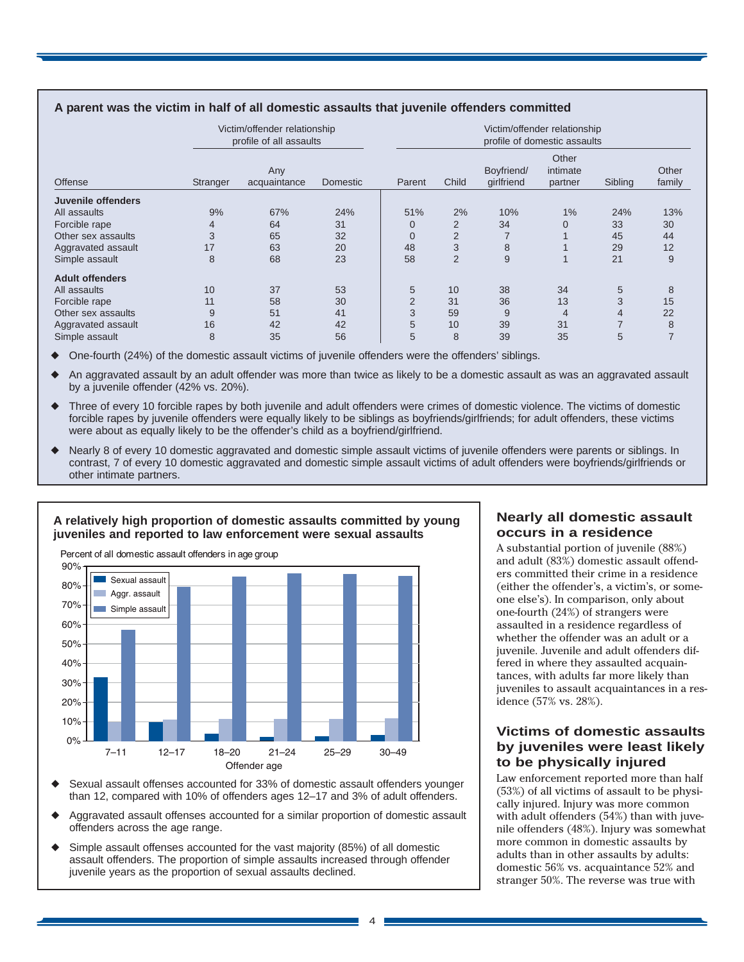| Offense                | Victim/offender relationship<br>profile of all assaults |                     |                 | Victim/offender relationship<br>profile of domestic assaults |                |                          |                              |         |                 |  |
|------------------------|---------------------------------------------------------|---------------------|-----------------|--------------------------------------------------------------|----------------|--------------------------|------------------------------|---------|-----------------|--|
|                        | Stranger                                                | Any<br>acquaintance | <b>Domestic</b> | Parent                                                       | Child          | Boyfriend/<br>girlfriend | Other<br>intimate<br>partner | Sibling | Other<br>family |  |
| Juvenile offenders     |                                                         |                     |                 |                                                              |                |                          |                              |         |                 |  |
| All assaults           | 9%                                                      | 67%                 | 24%             | 51%                                                          | 2%             | 10%                      | $1\%$                        | 24%     | 13%             |  |
| Forcible rape          | $\overline{4}$                                          | 64                  | 31              |                                                              | $\overline{2}$ | 34                       | $\Omega$                     | 33      | 30              |  |
| Other sex assaults     | 3                                                       | 65                  | 32              | 0                                                            | $\overline{2}$ |                          |                              | 45      | 44              |  |
| Aggravated assault     | 17                                                      | 63                  | 20              | 48                                                           | 3              | 8                        |                              | 29      | 12              |  |
| Simple assault         | 8                                                       | 68                  | 23              | 58                                                           | $\overline{2}$ | 9                        |                              | 21      | 9               |  |
| <b>Adult offenders</b> |                                                         |                     |                 |                                                              |                |                          |                              |         |                 |  |
| All assaults           | 10                                                      | 37                  | 53              | 5                                                            | 10             | 38                       | 34                           | 5       | 8               |  |
| Forcible rape          | 11                                                      | 58                  | 30              | $\overline{2}$                                               | 31             | 36                       | 13                           | 3       | 15              |  |
| Other sex assaults     | 9                                                       | 51                  | 41              | 3                                                            | 59             | 9                        | 4                            | 4       | 22              |  |
| Aggravated assault     | 16                                                      | 42                  | 42              | 5                                                            | 10             | 39                       | 31                           | 7       | 8               |  |
| Simple assault         | 8                                                       | 35                  | 56              | 5                                                            | 8              | 39                       | 35                           | 5       |                 |  |

#### **A parent was the victim in half of all domestic assaults that juvenile offenders committed**

One-fourth (24%) of the domestic assault victims of juvenile offenders were the offenders' siblings.

An aggravated assault by an adult offender was more than twice as likely to be a domestic assault as was an aggravated assault by a juvenile offender (42% vs. 20%).

- Three of every 10 forcible rapes by both juvenile and adult offenders were crimes of domestic violence. The victims of domestic forcible rapes by juvenile offenders were equally likely to be siblings as boyfriends/girlfriends; for adult offenders, these victims were about as equally likely to be the offender's child as a boyfriend/girlfriend.
- Nearly 8 of every 10 domestic aggravated and domestic simple assault victims of juvenile offenders were parents or siblings. In contrast, 7 of every 10 domestic aggravated and domestic simple assault victims of adult offenders were boyfriends/girlfriends or other intimate partners.



#### **A relatively high proportion of domestic assaults committed by young juveniles and reported to law enforcement were sexual assaults**

Sexual assault offenses accounted for 33% of domestic assault offenders younger than 12, compared with 10% of offenders ages 12–17 and 3% of adult offenders.

- Aggravated assault offenses accounted for a similar proportion of domestic assault offenders across the age range.
- Simple assault offenses accounted for the vast majority (85%) of all domestic assault offenders. The proportion of simple assaults increased through offender juvenile years as the proportion of sexual assaults declined.

## **Nearly all domestic assault occurs in a residence**

A substantial portion of juvenile (88%) and adult (83%) domestic assault offenders committed their crime in a residence (either the offender's, a victim's, or someone else's). In comparison, only about one-fourth (24%) of strangers were assaulted in a residence regardless of whether the offender was an adult or a juvenile. Juvenile and adult offenders differed in where they assaulted acquaintances, with adults far more likely than juveniles to assault acquaintances in a residence (57% vs. 28%).

# **Victims of domestic assaults by juveniles were least likely to be physically injured**

Law enforcement reported more than half (53%) of all victims of assault to be physically injured. Injury was more common with adult offenders (54%) than with juvenile offenders (48%). Injury was somewhat more common in domestic assaults by adults than in other assaults by adults: domestic 56% vs. acquaintance 52% and stranger 50%. The reverse was true with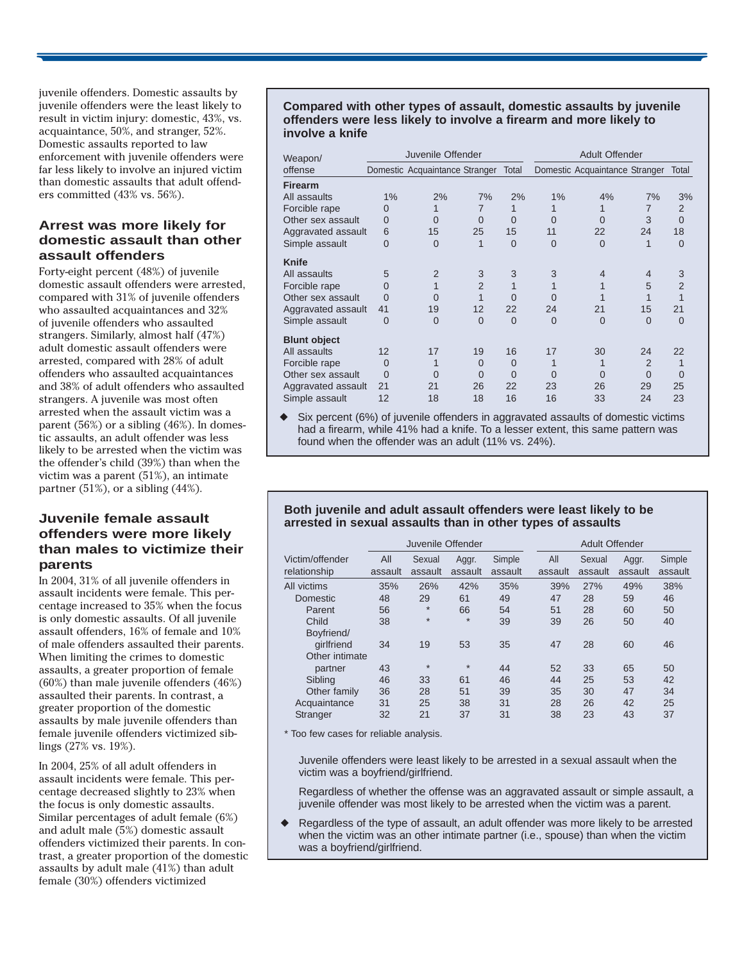juvenile offenders. Domestic assaults by juvenile offenders were the least likely to result in victim injury: domestic, 43%, vs. acquaintance, 50%, and stranger, 52%. Domestic assaults reported to law enforcement with juvenile offenders were far less likely to involve an injured victim than domestic assaults that adult offenders committed (43% vs. 56%).

## **Arrest was more likely for domestic assault than other assault offenders**

Forty-eight percent (48%) of juvenile domestic assault offenders were arrested, compared with 31% of juvenile offenders who assaulted acquaintances and 32% of juvenile offenders who assaulted strangers. Similarly, almost half (47%) adult domestic assault offenders were arrested, compared with 28% of adult offenders who assaulted acquaintances and 38% of adult offenders who assaulted strangers. A juvenile was most often arrested when the assault victim was a parent (56%) or a sibling (46%). In domestic assaults, an adult offender was less likely to be arrested when the victim was the offender's child (39%) than when the victim was a parent (51%), an intimate partner (51%), or a sibling (44%).

# **Juvenile female assault offenders were more likely than males to victimize their parents**

In 2004, 31% of all juvenile offenders in assault incidents were female. This percentage increased to 35% when the focus is only domestic assaults. Of all juvenile assault offenders, 16% of female and 10% of male offenders assaulted their parents. When limiting the crimes to domestic assaults, a greater proportion of female (60%) than male juvenile offenders (46%) assaulted their parents. In contrast, a greater proportion of the domestic assaults by male juvenile offenders than female juvenile offenders victimized siblings (27% vs. 19%).

In 2004, 25% of all adult offenders in assault incidents were female. This percentage decreased slightly to 23% when the focus is only domestic assaults. Similar percentages of adult female (6%) and adult male (5%) domestic assault offenders victimized their parents. In contrast, a greater proportion of the domestic assaults by adult male (41%) than adult female (30%) offenders victimized

#### **Compared with other types of assault, domestic assaults by juvenile offenders were less likely to involve a firearm and more likely to involve a knife**

| Weapon/             | Juvenile Offender |                                |                |          | <b>Adult Offender</b> |                                |                |                |
|---------------------|-------------------|--------------------------------|----------------|----------|-----------------------|--------------------------------|----------------|----------------|
| offense             |                   | Domestic Acquaintance Stranger |                | Total    |                       | Domestic Acquaintance Stranger |                | Total          |
| <b>Firearm</b>      |                   |                                |                |          |                       |                                |                |                |
| All assaults        | 1%                | 2%                             | 7%             | 2%       | 1%                    | 4%                             | 7%             | 3%             |
| Forcible rape       | 0                 |                                | 7              | 1        |                       |                                | 7              | $\overline{2}$ |
| Other sex assault   | $\Omega$          | $\Omega$                       | $\Omega$       | $\Omega$ | $\Omega$              | $\Omega$                       | 3              | $\Omega$       |
| Aggravated assault  | 6                 | 15                             | 25             | 15       | 11                    | 22                             | 24             | 18             |
| Simple assault      | 0                 | 0                              | 1              | $\Omega$ | $\Omega$              | $\Omega$                       |                | $\Omega$       |
| <b>Knife</b>        |                   |                                |                |          |                       |                                |                |                |
| All assaults        | 5                 | $\overline{2}$                 | 3              | 3        | 3                     | 4                              | 4              | 3              |
| Forcible rape       | 0                 |                                | $\overline{2}$ |          |                       |                                | 5              | $\overline{2}$ |
| Other sex assault   | 0                 | 0                              |                | $\Omega$ | $\Omega$              |                                |                |                |
| Aggravated assault  | 41                | 19                             | 12             | 22       | 24                    | 21                             | 15             | 21             |
| Simple assault      | 0                 | $\overline{0}$                 | $\overline{0}$ | $\Omega$ | $\Omega$              | $\Omega$                       | $\overline{0}$ | $\Omega$       |
| <b>Blunt object</b> |                   |                                |                |          |                       |                                |                |                |
| All assaults        | 12                | 17                             | 19             | 16       | 17                    | 30                             | 24             | 22             |
| Forcible rape       | $\Omega$          |                                | 0              | $\Omega$ |                       |                                | 2              |                |
| Other sex assault   | 0                 | 0                              | $\Omega$       | $\Omega$ | $\Omega$              | $\Omega$                       | $\Omega$       | $\Omega$       |
| Aggravated assault  | 21                | 21                             | 26             | 22       | 23                    | 26                             | 29             | 25             |
| Simple assault      | 12                | 18                             | 18             | 16       | 16                    | 33                             | 24             | 23             |

Six percent (6%) of juvenile offenders in aggravated assaults of domestic victims had a firearm, while 41% had a knife. To a lesser extent, this same pattern was found when the offender was an adult (11% vs. 24%).

#### **Both juvenile and adult assault offenders were least likely to be arrested in sexual assaults than in other types of assaults**

|                 | Juvenile Offender |         |         |         |         | Adult Offender |         |         |
|-----------------|-------------------|---------|---------|---------|---------|----------------|---------|---------|
| Victim/offender | All               | Sexual  | Aggr.   | Simple  | All     | Sexual         | Aggr.   | Simple  |
| relationship    | assault           | assault | assault | assault | assault | assault        | assault | assault |
| All victims     | 35%               | 26%     | 42%     | 35%     | 39%     | 27%            | 49%     | 38%     |
| Domestic        | 48                | 29      | 61      | 49      | 47      | 28             | 59      | 46      |
| Parent          | 56                | $\star$ | 66      | 54      | 51      | 28             | 60      | 50      |
| Child           | 38                | $\star$ | $\star$ | 39      | 39      | 26             | 50      | 40      |
| Boyfriend/      |                   |         |         |         |         |                |         |         |
| girlfriend      | 34                | 19      | 53      | 35      | 47      | 28             | 60      | 46      |
| Other intimate  |                   |         |         |         |         |                |         |         |
| partner         | 43                | $\star$ | $\star$ | 44      | 52      | 33             | 65      | 50      |
| Sibling         | 46                | 33      | 61      | 46      | 44      | 25             | 53      | 42      |
| Other family    | 36                | 28      | 51      | 39      | 35      | 30             | 47      | 34      |
| Acquaintance    | 31                | 25      | 38      | 31      | 28      | 26             | 42      | 25      |
| <b>Stranger</b> | 32                | 21      | 37      | 31      | 38      | 23             | 43      | 37      |

\* Too few cases for reliable analysis.

Juvenile offenders were least likely to be arrested in a sexual assault when the victim was a boyfriend/girlfriend.

Regardless of whether the offense was an aggravated assault or simple assault, a juvenile offender was most likely to be arrested when the victim was a parent.

Regardless of the type of assault, an adult offender was more likely to be arrested when the victim was an other intimate partner (i.e., spouse) than when the victim was a boyfriend/girlfriend.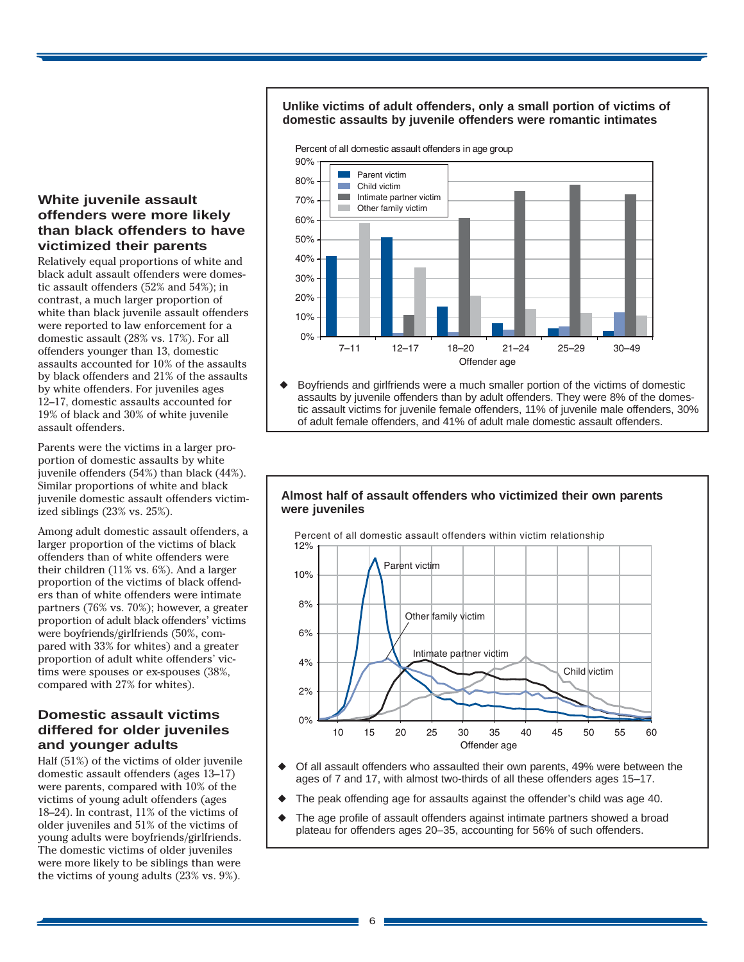## **White juvenile assault offenders were more likely than black offenders to have victimized their parents**

Relatively equal proportions of white and black adult assault offenders were domestic assault offenders (52% and 54%); in contrast, a much larger proportion of white than black juvenile assault offenders were reported to law enforcement for a domestic assault (28% vs. 17%). For all offenders younger than 13, domestic assaults accounted for 10% of the assaults by black offenders and 21% of the assaults by white offenders. For juveniles ages 12–17, domestic assaults accounted for 19% of black and 30% of white juvenile assault offenders.

Parents were the victims in a larger proportion of domestic assaults by white juvenile offenders (54%) than black (44%). Similar proportions of white and black juvenile domestic assault offenders victimized siblings (23% vs. 25%).

Among adult domestic assault offenders, a larger proportion of the victims of black offenders than of white offenders were their children (11% vs. 6%). And a larger proportion of the victims of black offenders than of white offenders were intimate partners (76% vs. 70%); however, a greater proportion of adult black offenders' victims were boyfriends/girlfriends (50%, compared with 33% for whites) and a greater proportion of adult white offenders' victims were spouses or ex-spouses (38%, compared with 27% for whites).

# **Domestic assault victims differed for older juveniles and younger adults**

Half (51%) of the victims of older juvenile domestic assault offenders (ages 13–17) were parents, compared with 10% of the victims of young adult offenders (ages 18–24). In contrast, 11% of the victims of older juveniles and 51% of the victims of young adults were boyfriends/girlfriends. The domestic victims of older juveniles were more likely to be siblings than were the victims of young adults (23% vs. 9%).

#### **Unlike victims of adult offenders, only a small portion of victims of domestic assaults by juvenile offenders were romantic intimates**

Percent of all domestic assault offenders in age group



Boyfriends and girlfriends were a much smaller portion of the victims of domestic assaults by juvenile offenders than by adult offenders. They were 8% of the domestic assault victims for juvenile female offenders, 11% of juvenile male offenders, 30% of adult female offenders, and 41% of adult male domestic assault offenders.

#### **Almost half of assault offenders who victimized their own parents were juveniles**



- Of all assault offenders who assaulted their own parents, 49% were between the ages of 7 and 17, with almost two-thirds of all these offenders ages 15–17.
- The peak offending age for assaults against the offender's child was age 40.
- The age profile of assault offenders against intimate partners showed a broad plateau for offenders ages 20–35, accounting for 56% of such offenders.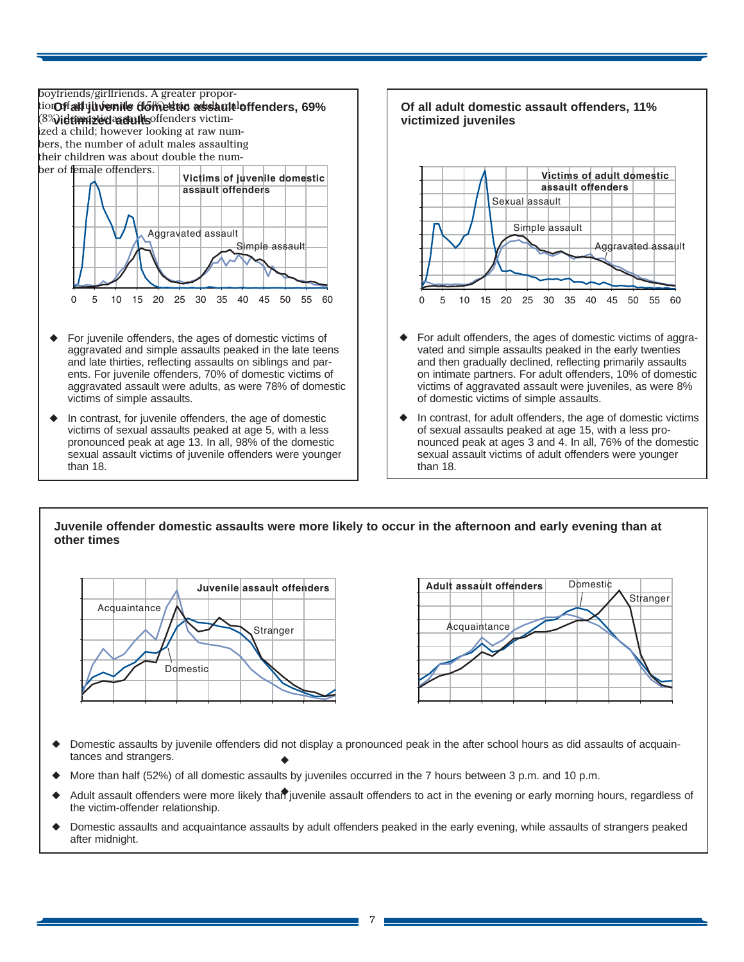

- and late thirties, reflecting assaults on siblings and parents. For juvenile offenders, 70% of domestic victims of aggravated assault were adults, as were 78% of domestic victims of simple assaults.
- In contrast, for juvenile offenders, the age of domestic victims of sexual assaults peaked at age 5, with a less pronounced peak at age 13. In all, 98% of the domestic sexual assault victims of juvenile offenders were younger than 18.



In contrast, for adult offenders, the age of domestic victims of sexual assaults peaked at age 15, with a less pronounced peak at ages 3 and 4. In all, 76% of the domestic sexual assault victims of adult offenders were younger than 18.

of domestic victims of simple assaults.

## **Juvenile offender domestic assaults were more likely to occur in the afternoon and early evening than at other times**





- ◆ ◆ Domestic assaults by juvenile offenders did not display a pronounced peak in the after school hours as did assaults of acquaintances and strangers.
- More than half (52%) of all domestic assaults by juveniles occurred in the 7 hours between 3 p.m. and 10 p.m.
- ◆ Adult assault offenders were more likely than juvenile assault offenders to act in the evening or early morning hours, regardless of the victim-offender relationship.
- ◆ Domestic assaults and acquaintance assaults by adult offenders peaked in the early evening, while assaults of strangers peaked after midnight.